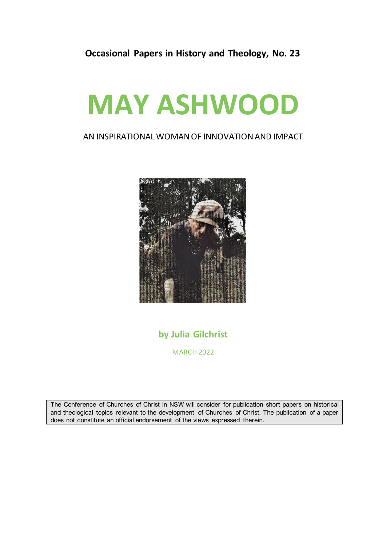### **Occasional Papers in History and Theology, No. 23**

# **MAY ASHWOOD**

#### AN INSPIRATIONAL WOMAN OF INNOVATION AND IMPACT



## **by Julia Gilchrist**

MARCH 2022

The Conference of Churches of Christ in NSW will consider for publication short papers on historical and theological topics relevant to the development of Churches of Christ. The publication of a paper does not constitute an official endorsement of the views expressed therein.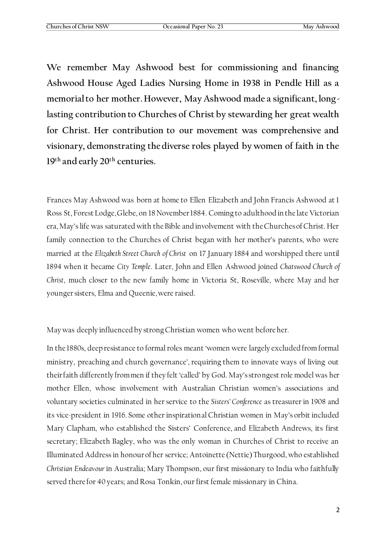**We remember May Ashwood best for commissioning and financing Ashwood House Aged Ladies Nursing Home in 1938 in Pendle Hill as a memorial to her mother. However, May Ashwood made a significant, longlasting contribution to Churches of Christ by stewarding her great wealth for Christ. Her contribution to our movement was comprehensive and visionary, demonstrating the diverse roles played by women of faith in the 19th and early 20th centuries.**

Frances May Ashwood was born at home to Ellen Elizabeth and John Francis Ashwood at 1 Ross St, Forest Lodge, Glebe, on 18 November 1884. Coming to adulthood in the late Victorian era, May's life was saturated with the Bible and involvement with the Churches of Christ. Her family connection to the Churches of Christ began with her mother's parents, who were married at the *Elizabeth Street Church of Christ* on 17 January 1884 and worshipped there until 1894 when it became *City Temple*. Later, John and Ellen Ashwood joined *Chatswood Church of Christ*, much closer to the new family home in Victoria St, Roseville, where May and her younger sisters, Elma and Queenie, were raised.

May was deeply influenced by strong Christian women who went before her.

In the 1880s, deep resistance to formal roles meant 'women were largely excluded from formal ministry, preaching and church governance', requiring them to innovate ways of living out their faith differently from men if they felt 'called' by God. May's strongest role model was her mother Ellen, whose involvement with Australian Christian women's associations and voluntary societies culminated in her service to the *Sisters' Conference* as treasurer in 1908 and its vice-president in 1916. Some other inspirational Christian women in May's orbit included Mary Clapham, who established the Sisters' Conference, and Elizabeth Andrews, its first secretary; Elizabeth Bagley, who was the only woman in Churches of Christ to receive an Illuminated Address in honour of her service; Antoinette (Nettie) Thurgood, who established *Christian Endeavour*in Australia; Mary Thompson, our first missionary to India who faithfully served there for 40 years; and Rosa Tonkin, our first female missionary in China.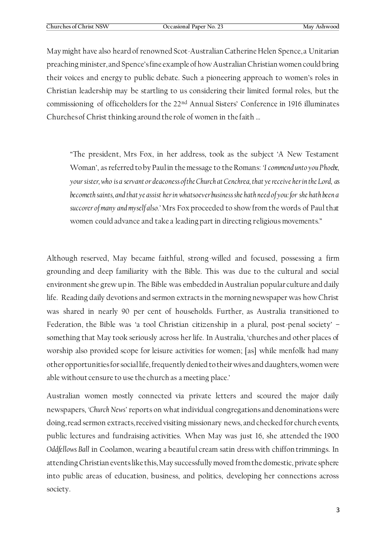May might have also heard of renowned Scot-Australian Catherine Helen Spence, a Unitarian preaching minister, and Spence's fine example of how Australian Christian women could bring their voices and energy to public debate. Such a pioneering approach to women's roles in Christian leadership may be startling to us considering their limited formal roles, but the commissioning of officeholders for the 22<sup>nd</sup> Annual Sisters' Conference in 1916 illuminates Churches of Christ thinking around the role of women in the faith …

"The president, Mrs Fox, in her address, took as the subject 'A New Testament Woman', as referred to by Paul in the message to the Romans: *'I commend unto you Phoebe*, *your sister, who is a servant or deaconess of the Church at Cenchrea, that ye receive her in the Lord, as becometh saints, and that ye assist her in whatsoever business she hath need of you: for she hath been a succorer of many and myself also.'* Mrs Fox proceeded to show from the words of Paul that women could advance and take a leading part in directing religious movements."

Although reserved, May became faithful, strong-willed and focused, possessing a firm grounding and deep familiarity with the Bible. This was due to the cultural and social environment she grew up in. The Bible was embedded in Australian popular culture and daily life. Reading daily devotions and sermon extracts in the morning newspaper was how Christ was shared in nearly 90 per cent of households. Further, as Australia transitioned to Federation, the Bible was 'a tool Christian citizenship in a plural, post-penal society' – something that May took seriously across her life. In Australia, 'churches and other places of worship also provided scope for leisure activities for women; [as] while menfolk had many other opportunities for social life, frequently denied to their wives and daughters, women were able without censure to use the church as a meeting place.'

Australian women mostly connected via private letters and scoured the major daily newspapers, *'Church News'* reports on what individual congregations and denominations were doing, read sermon extracts, received visiting missionary news, and checked for church events, public lectures and fundraising activities. When May was just 16, she attended the 1900 *Oddfellows Ball* in Coolamon, wearing a beautiful cream satin dress with chiffon trimmings. In attending Christian events like this, May successfully moved from the domestic, private sphere into public areas of education, business, and politics, developing her connections across society.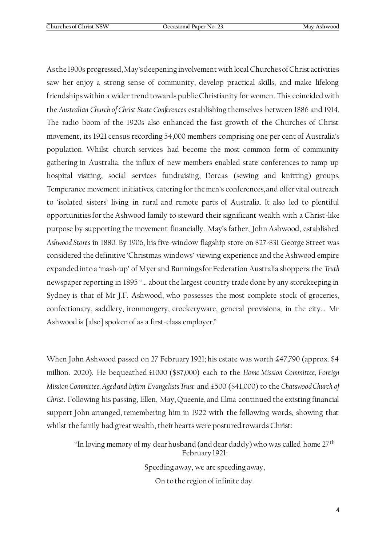As the 1900s progressed, May's deepening involvement with local Churches of Christ activities saw her enjoy a strong sense of community, develop practical skills, and make lifelong friendships within a wider trend towards public Christianity for women. This coincided with the *Australian Church of Christ State Conferences* establishing themselves between 1886 and 1914. The radio boom of the 1920s also enhanced the fast growth of the Churches of Christ movement, its 1921 census recording 54,000 members comprising one per cent of Australia's population. Whilst church services had become the most common form of community gathering in Australia, the influx of new members enabled state conferences to ramp up hospital visiting, social services fundraising, Dorcas (sewing and knitting) groups, Temperance movement initiatives, catering for the men's conferences, and offer vital outreach to 'isolated sisters' living in rural and remote parts of Australia. It also led to plentiful opportunities for the Ashwood family to steward their significant wealth with a Christ-like purpose by supporting the movement financially. May's father, John Ashwood, established *Ashwood Stores* in 1880. By 1906, his five-window flagship store on 827-831 George Street was considered the definitive 'Christmas windows' viewing experience and the Ashwood empire expanded into a 'mash-up' of Myer and Bunnings for Federation Australia shoppers: the *Truth* newspaper reporting in 1895 "… about the largest country trade done by any storekeeping in Sydney is that of Mr J.F. Ashwood, who possesses the most complete stock of groceries, confectionary, saddlery, ironmongery, crockeryware, general provisions, in the city… Mr Ashwood is [also] spoken of as a first-class employer."

When John Ashwood passed on 27 February 1921; his estate was worth £47,790 (approx. \$4 million. 2020). He bequeathed £1000 (\$87,000) each to the *Home Mission Committee, Foreign Mission Committee, Aged and Infirm Evangelists Trust* and £500 (\$41,000) to the *Chatswood Church of Christ*. Following his passing, Ellen, May, Queenie, and Elma continued the existing financial support John arranged, remembering him in 1922 with the following words, showing that whilst the family had great wealth, their hearts were postured towards Christ:

"In loving memory of my dear husband (and dear daddy) who was called home 27<sup>th</sup> February 1921:

> Speeding away, we are speeding away, On to the region of infinite day.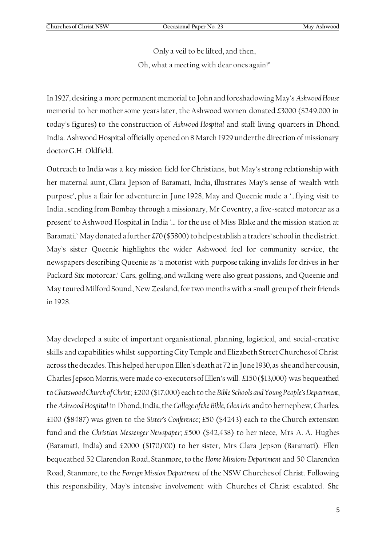Only a veil to be lifted, and then,

Oh, what a meeting with dear ones again!"

In 1927, desiring a more permanent memorial to John and foreshadowing May's *Ashwood House* memorial to her mother some years later, the Ashwood women donated £3000 (\$249,000 in today's figures) to the construction of *Ashwood Hospital* and staff living quarters in Dhond, India. Ashwood Hospital officially opened on 8 March 1929 under the direction of missionary doctor G.H. Oldfield.

Outreach to India was a key mission field for Christians, but May's strong relationship with her maternal aunt, Clara Jepson of Baramati, India, illustrates May's sense of 'wealth with purpose', plus a flair for adventure: in June 1928, May and Queenie made a '…flying visit to India…sending from Bombay through a missionary, Mr Coventry, a five-seated motorcar as a present' to Ashwood Hospital in India '… for the use of Miss Blake and the mission station at Baramati.' May donated a further £70 (\$5800) to help establish a traders' school in the district. May's sister Queenie highlights the wider Ashwood feel for community service, the newspapers describing Queenie as 'a motorist with purpose taking invalids for drives in her Packard Six motorcar.' Cars, golfing, and walking were also great passions, and Queenie and May toured Milford Sound, New Zealand, for two months with a small group of their friends in 1928.

May developed a suite of important organisational, planning, logistical, and social-creative skills and capabilities whilst supporting City Temple and Elizabeth Street Churches of Christ across the decades. This helped her upon Ellen's death at 72 in June 1930, as she and her cousin, Charles Jepson Morris, were made co-executors of Ellen's will. £150 (\$13,000) was bequeathed to *Chatswood Church of Christ*; £200 (\$17,000) each to the *Bible Schools and Young People's Department*, the *Ashwood Hospital* in Dhond, India, the *College of the Bible, Glen Iris* and to her nephew, Charles. £100 (\$8487) was given to the *Sister's Conference*; £50 (\$4243) each to the Church extension fund and the *Christian Messenger Newspaper*; £500 (\$42,438) to her niece, Mrs A. A. Hughes (Baramati, India) and £2000 (\$170,000) to her sister, Mrs Clara Jepson (Baramati). Ellen bequeathed 52 Clarendon Road, Stanmore, to the *Home Missions Department* and 50 Clarendon Road, Stanmore, to the *Foreign Mission Department* of the NSW Churches of Christ. Following this responsibility, May's intensive involvement with Churches of Christ escalated. She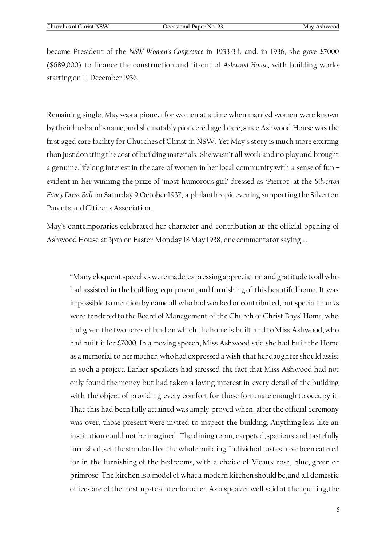became President of the *NSW Women's Conference* in 1933-34, and, in 1936, she gave £7000 (\$689,000) to finance the construction and fit-out of *Ashwood House,* with building works starting on 11 December 1936.

Remaining single, May was a pioneer for women at a time when married women were known by their husband's name, and she notably pioneered aged care, since Ashwood House was the first aged care facility for Churches of Christ in NSW. Yet May's story is much more exciting than just donating the cost of building materials. She wasn't all work and no play and brought a genuine, lifelong interest in the care of women in her local community with a sense of fun – evident in her winning the prize of 'most humorous girl' dressed as 'Pierrot' at the *Silverton Fancy Dress Ball* on Saturday 9 October 1937, a philanthropic evening supporting the Silverton Parents and Citizens Association.

May's contemporaries celebrated her character and contribution at the official opening of Ashwood House at 3pm on Easter Monday 18 May 1938, one commentator saying …

"Many eloquent speeches were made, expressing appreciation and gratitude to all who had assisted in the building, equipment, and furnishing of this beautiful home. It was impossible to mention by name all who had worked or contributed, but special thanks were tendered to the Board of Management of the Church of Christ Boys' Home, who had given the two acres of land on which the home is built, and to Miss Ashwood, who had built it for £7000. In a moving speech, Miss Ashwood said she had built the Home as a memorial to her mother, who had expressed a wish that her daughter should assist in such a project. Earlier speakers had stressed the fact that Miss Ashwood had not only found the money but had taken a loving interest in every detail of the building with the object of providing every comfort for those fortunate enough to occupy it. That this had been fully attained was amply proved when, after the official ceremony was over, those present were invited to inspect the building. Anything less like an institution could not be imagined. The dining room, carpeted, spacious and tastefully furnished, set the standard for the whole building. Individual tastes have been catered for in the furnishing of the bedrooms, with a choice of Vieaux rose, blue, green or primrose. The kitchen is a model of what a modern kitchen should be, and all domestic offices are of the most up-to-date character. As a speaker well said at the opening, the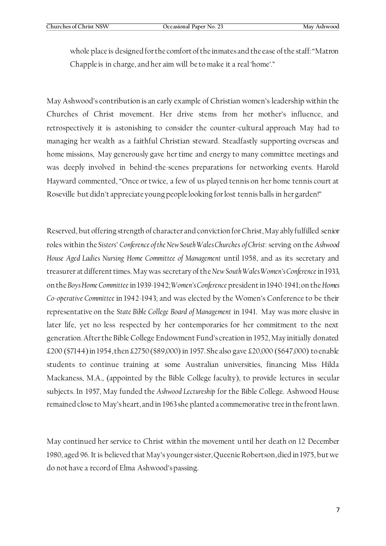whole place is designed for the comfort of the inmates and the ease of the staff: "Matron Chapple is in charge, and her aim will be to make it a real 'home'."

May Ashwood's contribution is an early example of Christian women's leadership within the Churches of Christ movement. Her drive stems from her mother's influence, and retrospectively it is astonishing to consider the counter-cultural approach May had to managing her wealth as a faithful Christian steward. Steadfastly supporting overseas and home missions, May generously gave her time and energy to many committee meetings and was deeply involved in behind-the-scenes preparations for networking events. Harold Hayward commented, "Once or twice, a few of us played tennis on her home tennis court at Roseville but didn't appreciate young people looking for lost tennis balls in her garden!"

Reserved, but offering strength of character and conviction for Christ, May ably fulfilled senior roles within the *Sisters' Conference of the New South Wales Churches of Christ*: serving on the *Ashwood House Aged Ladies Nursing Home Committee of Management* until 1958, and as its secretary and treasurer at different times. May was secretary of the *New South Wales Women's Conference* in 1933, on the *Boys Home Committee* in 1939-1942; *Women's Conference* president in 1940-1941; on the *Homes Co-operative Committee* in 1942-1943; and was elected by the Women's Conference to be their representative on the *State Bible College Board of Management* in 1941. May was more elusive in later life, yet no less respected by her contemporaries for her commitment to the next generation. After the Bible College Endowment Fund's creation in 1952, May initially donated £200 (\$7144) in 1954, then £2750 (\$89,000) in 1957. She also gave £20,000 (\$647,000) to enable students to continue training at some Australian universities, financing Miss Hilda Mackaness, M.A., (appointed by the Bible College faculty), to provide lectures in secular subjects. In 1957, May funded the *Ashwood Lectureship* for the Bible College. Ashwood House remained close to May's heart, and in 1963 she planted a commemorative tree in the front lawn.

May continued her service to Christ within the movement until her death on 12 December 1980, aged 96. It is believed that May's younger sister, Queenie Robertson, died in 1975, but we do not have a record of Elma Ashwood's passing.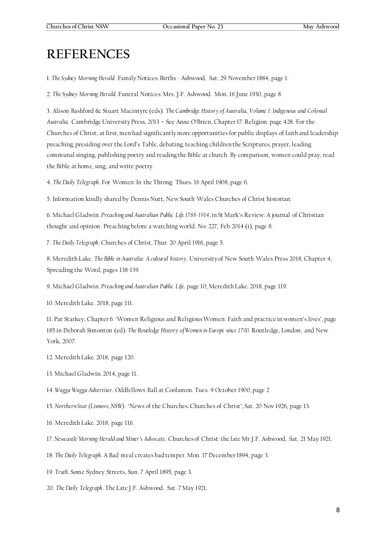# **REFERENCES**

1. *The Sydney Morning Herald*. Family Notices: Births - Ashwood, Sat. 29 November 1884, page 1.

2. *The Sydney Morning Herald.* Funeral Notices: Mrs. J.F. Ashwood. Mon. 16 June 1930, page 8.

3. Alison Bashford & Stuart Macintyre (eds). *The Cambridge History of Australia, Volume 1: Indigenous and Colonial Australia*. Cambridge University Press, 2013 – See Anne O'Brien, Chapter 17: Religion. page 428. For the Churches of Christ, at first, men had significantly more opportunities for public displays of faith and leadership: preaching, presiding over the Lord's Table, debating, teaching children the Scriptures, prayer, leading communal singing, publishing poetry and reading the Bible at church. By comparison, women could pray, read the Bible at home, sing, and write poetry.

4. *The Daily Telegraph*. For Women: In the Throng. Thurs. 16 April 1908, page 6.

5. Information kindly shared by Dennis Nutt, New South Wales Churches of Christ historian.

6. Michael Gladwin. *Preaching and Australian Public Life 1788-1914*, in St Mark's Review: A journal of Christian thought and opinion. Preaching before a watching world. No. 227, Feb 2014 (i), page 8.

7. *The Daily Telegraph*. Churches of Christ, Thur. 20 April 1916, page 5.

8. Meredith Lake. *The Bible in Australia: A cultural history*. University of New South Wales Press 2018, Chapter 4, Spreading the Word, pages 138-139.

9. Michael Gladwin. *Preaching and Australian Public Life.* page 10; Meredith Lake. 2018, page 119.

10. Meredith Lake. 2018, page 111.

11. Pat Starkey, Chapter 6: 'Women Religious and Religious Women: Faith and practice in women's lives', page 185 in Deborah Simonton (ed). *The Routledge History of Women in Europe since 1700.* Routledge, London, and New York, 2007.

- 12. Meredith Lake. 2018, page 120.
- 13. Michael Gladwin. 2014, page 11.
- 14. *Wagga Wagga Advertiser*. Oddfellows Ball at Coolamon. Tues. 9 October 1900, page 2
- 15. *Northern Star (Lismore, NSW)*. 'News of the Churches: Churches of Christ', Sat. 20 Nov 1926, page 13.
- 16. Meredith Lake. 2018, page 116.
- 17. *Newcastle Morning Herald and Miner's Advocate*. Churches of Christ: the late Mr J.F. Ashwood, Sat. 21 May 1921.
- 18. *The Daily Telegraph*. A Bad meal creates bad temper. Mon. 17 December 1894, page 3.
- 19. *Truth.* Some Sydney Streets, Sun. 7 April 1895, page 3.
- 20. *The Daily Telegraph*. The Late J.F. Ashwood. Sat. 7 May 1921.